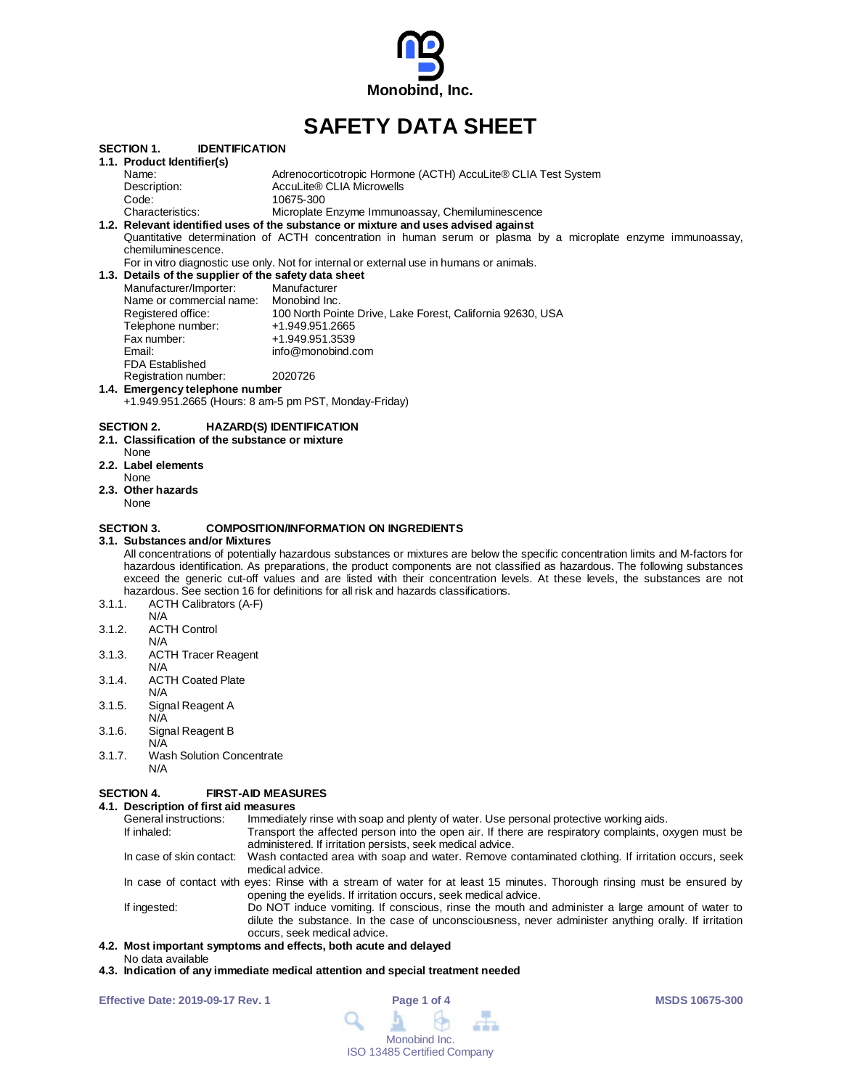

# **SAFETY DATA SHEET**

|        | <b>IDENTIFICATION</b><br>SECTION 1.                   |                                                                                                                                  |
|--------|-------------------------------------------------------|----------------------------------------------------------------------------------------------------------------------------------|
|        | 1.1. Product Identifier(s)                            |                                                                                                                                  |
|        | Name:                                                 | Adrenocorticotropic Hormone (ACTH) AccuLite® CLIA Test System                                                                    |
|        | Description:                                          | AccuLite® CLIA Microwells                                                                                                        |
|        | Code:                                                 | 10675-300                                                                                                                        |
|        | Characteristics:                                      | Microplate Enzyme Immunoassay, Chemiluminescence                                                                                 |
|        |                                                       | 1.2. Relevant identified uses of the substance or mixture and uses advised against                                               |
|        |                                                       | Quantitative determination of ACTH concentration in human serum or plasma by a microplate enzyme immunoassay,                    |
|        | chemiluminescence.                                    |                                                                                                                                  |
|        |                                                       | For in vitro diagnostic use only. Not for internal or external use in humans or animals.                                         |
|        | 1.3. Details of the supplier of the safety data sheet |                                                                                                                                  |
|        | Manufacturer/Importer:                                | Manufacturer                                                                                                                     |
|        | Name or commercial name: Monobind Inc.                |                                                                                                                                  |
|        | Registered office:                                    | 100 North Pointe Drive, Lake Forest, California 92630, USA                                                                       |
|        | Telephone number:                                     | +1.949.951.2665                                                                                                                  |
|        | Fax number:                                           | +1.949.951.3539                                                                                                                  |
|        | Email:                                                | info@monobind.com                                                                                                                |
|        | <b>FDA Established</b>                                |                                                                                                                                  |
|        | Registration number:                                  | 2020726                                                                                                                          |
|        | 1.4. Emergency telephone number                       |                                                                                                                                  |
|        |                                                       | +1.949.951.2665 (Hours: 8 am-5 pm PST, Monday-Friday)                                                                            |
|        | <b>SECTION 2.</b>                                     | <b>HAZARD(S) IDENTIFICATION</b>                                                                                                  |
|        | 2.1. Classification of the substance or mixture       |                                                                                                                                  |
|        | None                                                  |                                                                                                                                  |
|        | 2.2. Label elements                                   |                                                                                                                                  |
|        | None                                                  |                                                                                                                                  |
|        | 2.3. Other hazards                                    |                                                                                                                                  |
|        | None                                                  |                                                                                                                                  |
|        |                                                       |                                                                                                                                  |
|        | <b>SECTION 3.</b>                                     | <b>COMPOSITION/INFORMATION ON INGREDIENTS</b>                                                                                    |
|        | 3.1. Substances and/or Mixtures                       |                                                                                                                                  |
|        |                                                       | All concentrations of potentially hazardous substances or mixtures are below the specific concentration limits and M-factors for |
|        |                                                       | hazardous identification. As preparations, the product components are not classified as hazardous. The following substances      |
|        |                                                       | exceed the generic cut-off values and are listed with their concentration levels. At these levels, the substances are not        |
|        |                                                       | hazardous. See section 16 for definitions for all risk and hazards classifications.                                              |
| 3.1.1. | <b>ACTH Calibrators (A-F)</b>                         |                                                                                                                                  |
|        | N/A                                                   |                                                                                                                                  |
| 3.1.2. | <b>ACTH Control</b>                                   |                                                                                                                                  |
|        | N/A                                                   |                                                                                                                                  |
| 3.1.3. | <b>ACTH Tracer Reagent</b>                            |                                                                                                                                  |
|        | N/A                                                   |                                                                                                                                  |
| 3.1.4. | <b>ACTH Coated Plate</b>                              |                                                                                                                                  |
|        | N/A                                                   |                                                                                                                                  |
| 3.1.5. | Signal Reagent A                                      |                                                                                                                                  |
|        | N/A                                                   |                                                                                                                                  |
| 3.1.6. | Signal Reagent B                                      |                                                                                                                                  |
|        | N/A                                                   |                                                                                                                                  |
| 3.1.7. | <b>Wash Solution Concentrate</b>                      |                                                                                                                                  |
|        | N/A                                                   |                                                                                                                                  |
|        |                                                       |                                                                                                                                  |

## **SECTION 4. FIRST-AID MEASURES**

## **4.1. Description of first aid measures**

| General instructions: | Immediately rinse with soap and plenty of water. Use personal protective working aids.                                                                                                                                                   |
|-----------------------|------------------------------------------------------------------------------------------------------------------------------------------------------------------------------------------------------------------------------------------|
| If inhaled:           | Transport the affected person into the open air. If there are respiratory complaints, oxygen must be<br>administered. If irritation persists, seek medical advice.                                                                       |
|                       | In case of skin contact: Wash contacted area with soap and water. Remove contaminated clothing. If irritation occurs, seek<br>medical advice.                                                                                            |
|                       | In case of contact with eyes: Rinse with a stream of water for at least 15 minutes. Thorough rinsing must be ensured by<br>opening the eyelids. If irritation occurs, seek medical advice.                                               |
| If ingested:          | Do NOT induce vomiting. If conscious, rinse the mouth and administer a large amount of water to<br>dilute the substance. In the case of unconsciousness, never administer anything orally. If irritation<br>occurs, seek medical advice. |
|                       | 4.2. Most important symptoms and effects, both acute and delayed                                                                                                                                                                         |

- No data available
- **4.3. Indication of any immediate medical attention and special treatment needed**

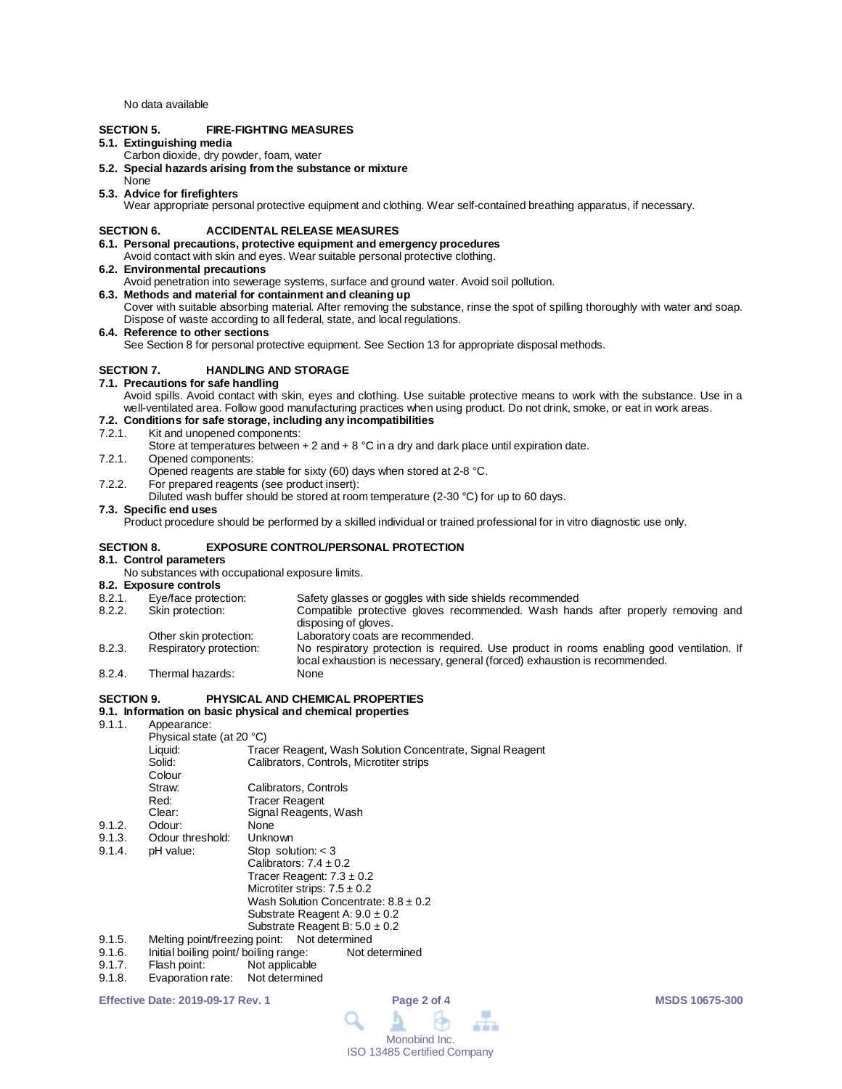No data available

## **SECTION 5. FIRE-FIGHTING MEASURES**

## **5.1. Extinguishing media**

- Carbon dioxide, dry powder, foam, water
- **5.2. Special hazards arising from the substance or mixture**
- None

#### **5.3. Advice for firefighters**

Wear appropriate personal protective equipment and clothing. Wear self-contained breathing apparatus, if necessary.

### **SECTION 6. ACCIDENTAL RELEASE MEASURES**

- **6.1. Personal precautions, protective equipment and emergency procedures** Avoid contact with skin and eyes. Wear suitable personal protective clothing.
- **6.2. Environmental precautions**
- Avoid penetration into sewerage systems, surface and ground water. Avoid soil pollution.
- **6.3. Methods and material for containment and cleaning up**
- Cover with suitable absorbing material. After removing the substance, rinse the spot of spilling thoroughly with water and soap. Dispose of waste according to all federal, state, and local regulations.

#### **6.4. Reference to other sections**

See Section 8 for personal protective equipment. See Section 13 for appropriate disposal methods.

## **SECTION 7. HANDLING AND STORAGE**

### **7.1. Precautions for safe handling**

Avoid spills. Avoid contact with skin, eyes and clothing. Use suitable protective means to work with the substance. Use in a well-ventilated area. Follow good manufacturing practices when using product. Do not drink, smoke, or eat in work areas.

## **7.2. Conditions for safe storage, including any incompatibilities**

- Kit and unopened components:
	- Store at temperatures between + 2 and + 8 °C in a dry and dark place until expiration date.
- 7.2.1. Opened components:
- Opened reagents are stable for sixty (60) days when stored at 2-8 °C.
- 7.2.2. For prepared reagents (see product insert):
- Diluted wash buffer should be stored at room temperature (2-30 °C) for up to 60 days.

### **7.3. Specific end uses**

Product procedure should be performed by a skilled individual or trained professional for in vitro diagnostic use only.

#### **SECTION 8. EXPOSURE CONTROL/PERSONAL PROTECTION**

#### **8.1. Control parameters**

No substances with occupational exposure limits.

## **8.2. Exposure controls**

- 8.2.1. Eye/face protection: Safety glasses or goggles with side shields recommended 8.2.2. Skin protection: Compatible protective gloves recommended. Wash han
- Compatible protective gloves recommended. Wash hands after properly removing and disposing of gloves.
- Other skin protection: Laboratory coats are recommended.<br>
Respiratory protection: No respiratory protection is require
- 8.2.3. Respiratory protection: No respiratory protection is required. Use product in rooms enabling good ventilation. If local exhaustion is necessary, general (forced) exhaustion is recommended. 8.2.4. Thermal hazards:
- 

## **SECTION 9. PHYSICAL AND CHEMICAL PROPERTIES**

## **9.1. Information on basic physical and chemical properties**

9.1.1. Appearance:

| 9.1.1. | Appearance:                                  |                                                           |  |  |  |
|--------|----------------------------------------------|-----------------------------------------------------------|--|--|--|
|        | Physical state (at 20 °C)                    |                                                           |  |  |  |
|        | Liquid:                                      | Tracer Reagent, Wash Solution Concentrate, Signal Reagent |  |  |  |
|        | Solid:                                       | Calibrators, Controls, Microtiter strips                  |  |  |  |
|        | Colour                                       |                                                           |  |  |  |
|        | Straw:                                       | Calibrators, Controls                                     |  |  |  |
|        | Red:                                         | <b>Tracer Reagent</b>                                     |  |  |  |
|        | Clear:                                       | Signal Reagents, Wash                                     |  |  |  |
| 9.1.2. | Odour:                                       | None                                                      |  |  |  |
| 9.1.3. | Odour threshold:                             | Unknown                                                   |  |  |  |
| 9.1.4. | pH value:                                    | Stop solution: $<$ 3                                      |  |  |  |
|        |                                              | Calibrators: $7.4 \pm 0.2$                                |  |  |  |
|        |                                              | Tracer Reagent: $7.3 \pm 0.2$                             |  |  |  |
|        |                                              | Microtiter strips: $7.5 \pm 0.2$                          |  |  |  |
|        |                                              | Wash Solution Concentrate: $8.8 \pm 0.2$                  |  |  |  |
|        |                                              | Substrate Reagent A: $9.0 \pm 0.2$                        |  |  |  |
|        |                                              | Substrate Reagent B: $5.0 \pm 0.2$                        |  |  |  |
| 9.1.5. | Melting point/freezing point: Not determined |                                                           |  |  |  |

- 9.1.6. Initial boiling point/ boiling range: Not determined<br>9.1.7. Flash point: Not applicable
- Not applicable
- 9.1.8. Evaporation rate: Not determined

**Effective Date: 2019-09-17 Rev. 1 Page 2 of 4 MSDS 10675-300**

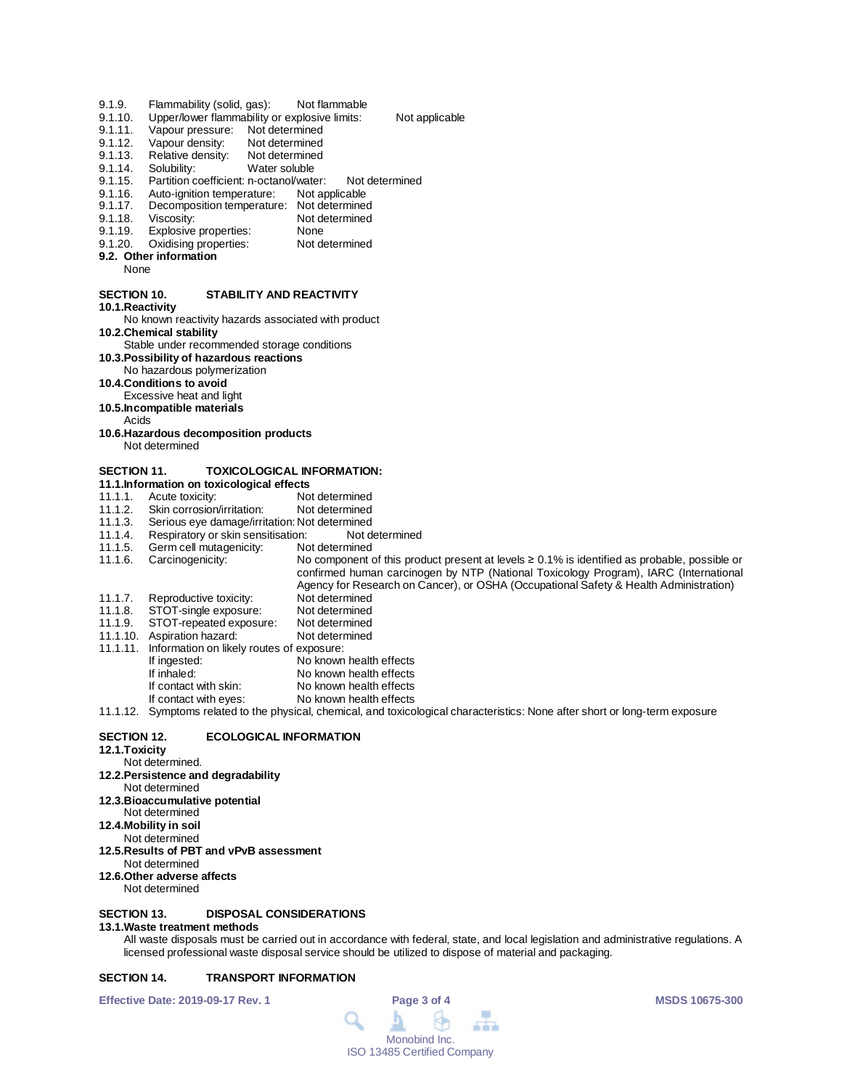- 9.1.9. Flammability (solid, gas): Not flammable<br>9.1.10. Upper/lower flammability or explosive limits:
- 9.1.10. Upper/lower flammability or explosive limits: Not applicable<br>9.1.11. Vapour pressure: Not determined
- 9.1.11. Vapour pressure: Not determined<br>9.1.12. Vapour density: Not determined
- Vapour density:
- 9.1.13. Relative density: Not determined<br>9.1.14. Solubility: Water soluble
- 9.1.14. Solubility: Water soluble<br>9.1.15. Partition coefficient: n-octanol/wate
- 9.1.15. Partition coefficient: n-octanol/water: Not determined<br>9.1.16. Auto-ignition temperature: Not applicable
- 9.1.16. Auto-ignition temperature:<br>9.1.17. Decomposition temperature
- 9.1.17. Decomposition temperature: Not determined<br>9.1.18. Viscosity: Not determined
- 9.1.18. Viscosity: Not determined<br>9.1.19. Explosive properties: None
- 9.1.19. Explosive properties: None<br>9.1.20. Oxidising properties: Not determined
- Oxidising properties: **9.2. Other information**
- None
- 

## **SECTION 10. STABILITY AND REACTIVITY**

- **10.1.Reactivity**
- No known reactivity hazards associated with product
- **10.2.Chemical stability**
- Stable under recommended storage conditions
- **10.3.Possibility of hazardous reactions** No hazardous polymerization
- **10.4.Conditions to avoid**
- 
- Excessive heat and light
- **10.5.Incompatible materials**
- Acids
- **10.6.Hazardous decomposition products** Not determined

## **SECTION 11. TOXICOLOGICAL INFORMATION:**

- **11.1.Information on toxicological effects**
- Acute toxicity: Not determined<br>
Skin corrosion/irritation: Not determined
- 11.1.2. Skin corrosion/irritation:<br>11.1.3. Serious eye damage/irrit
- 11.1.3. Serious eye damage/irritation: Not determined<br>11.1.4. Respiratory or skin sensitisation: Not determined
- 11.1.4. Respiratory or skin sensitisation: Not d<br>11.1.5. Germ cell mutagenicity: Not determined
- 11.1.5. Germ cell mutagenicity:<br>11.1.6. Carcinogenicity:

No component of this product present at levels ≥ 0.1% is identified as probable, possible or confirmed human carcinogen by NTP (National Toxicology Program), IARC (International Agency for Research on Cancer), or OSHA (Occupational Safety & Health Administration) 11.1.7. Reproductive toxicity: Not determined<br>11.1.8. STOT-single exposure: Not determined

- 11.1.8. STOT-single exposure: Not determined
- 11.1.9. STOT-repeated exposure: Not determined<br>11.1.10. Aspiration hazard: Not determined 11.1.10. Aspiration hazard:
- 
- 11.1.11. Information on likely routes of exposure:
- If ingested: No known health effects<br>
If inhaled: No known health effects
	- If inhaled:<br>If contact with skin:<br>No known health effects
	- If contact with skin: No known health effects<br>If contact with eyes: No known health effects No known health effects
- 11.1.12. Symptoms related to the physical, chemical, and toxicological characteristics: None after short or long-term exposure

#### **SECTION 12. ECOLOGICAL INFORMATION**

- **12.1.Toxicity**
- Not determined.
- **12.2.Persistence and degradability**
- Not determined
- **12.3.Bioaccumulative potential**
- Not determined **12.4.Mobility in soil**
- Not determined
- **12.5.Results of PBT and vPvB assessment**
- Not determined
- **12.6.Other adverse affects**
- Not determined

### **SECTION 13. DISPOSAL CONSIDERATIONS**

#### **13.1.Waste treatment methods**

All waste disposals must be carried out in accordance with federal, state, and local legislation and administrative regulations. A licensed professional waste disposal service should be utilized to dispose of material and packaging.

## **SECTION 14. TRANSPORT INFORMATION**